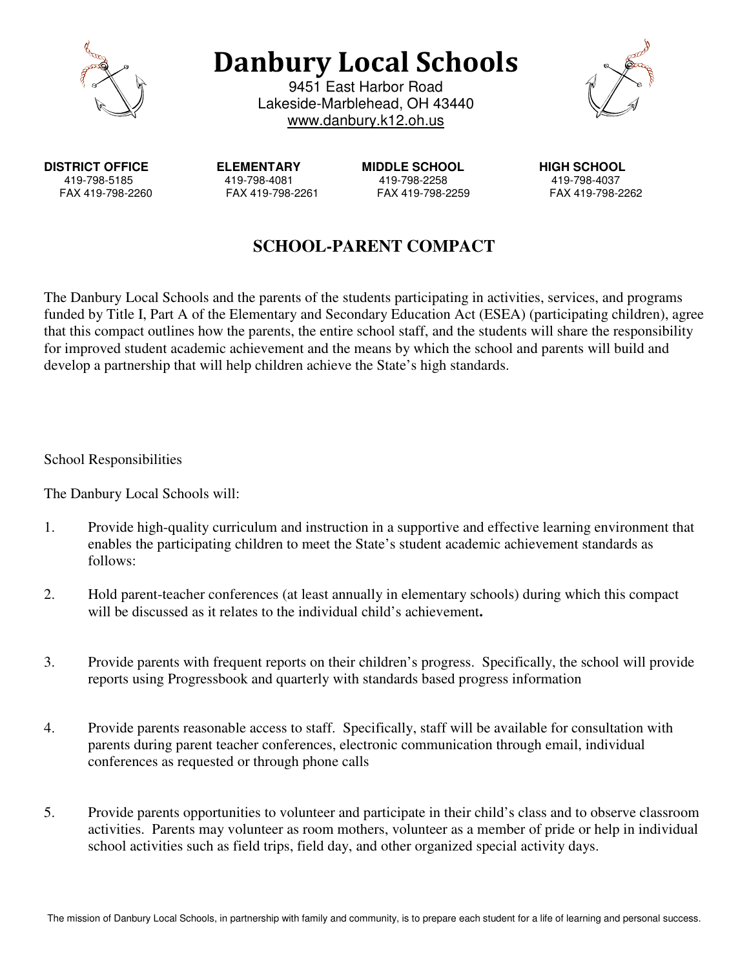

**Danbury Local Schools** 

9451 East Harbor Road Lakeside-Marblehead, OH 43440 www.danbury.k12.oh.us



**DISTRICT OFFICE ELEMENTARY MIDDLE SCHOOL HIGH SCHOOL**

419-798-5185 419-798-4081 419-798-2258 419-798-4037 FAX 419-798-2260 FAX 419-798-2261 FAX 419-798-2259 FAX 419-798-2262

## **SCHOOL-PARENT COMPACT**

The Danbury Local Schools and the parents of the students participating in activities, services, and programs funded by Title I, Part A of the Elementary and Secondary Education Act (ESEA) (participating children), agree that this compact outlines how the parents, the entire school staff, and the students will share the responsibility for improved student academic achievement and the means by which the school and parents will build and develop a partnership that will help children achieve the State's high standards.

School Responsibilities

The Danbury Local Schools will:

- 1. Provide high-quality curriculum and instruction in a supportive and effective learning environment that enables the participating children to meet the State's student academic achievement standards as follows:
- 2. Hold parent-teacher conferences (at least annually in elementary schools) during which this compact will be discussed as it relates to the individual child's achievement**.**
- 3. Provide parents with frequent reports on their children's progress. Specifically, the school will provide reports using Progressbook and quarterly with standards based progress information
- 4. Provide parents reasonable access to staff. Specifically, staff will be available for consultation with parents during parent teacher conferences, electronic communication through email, individual conferences as requested or through phone calls
- 5. Provide parents opportunities to volunteer and participate in their child's class and to observe classroom activities. Parents may volunteer as room mothers, volunteer as a member of pride or help in individual school activities such as field trips, field day, and other organized special activity days.